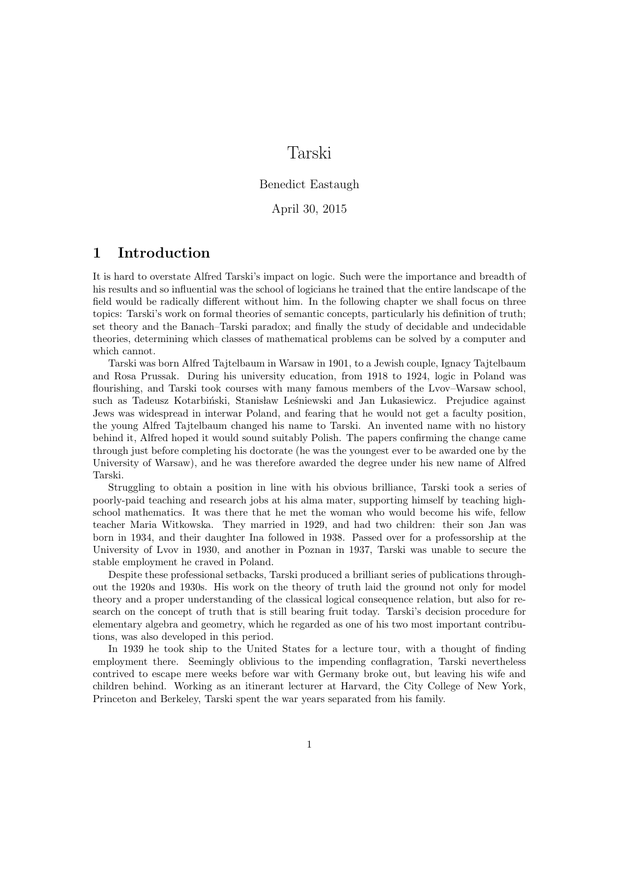# Tarski

### Benedict Eastaugh

### April 30, 2015

# 1 Introduction

It is hard to overstate Alfred Tarski's impact on logic. Such were the importance and breadth of his results and so influential was the school of logicians he trained that the entire landscape of the field would be radically different without him. In the following chapter we shall focus on three topics: Tarski's work on formal theories of semantic concepts, particularly his definition of truth; set theory and the Banach–Tarski paradox; and finally the study of decidable and undecidable theories, determining which classes of mathematical problems can be solved by a computer and which cannot.

Tarski was born Alfred Tajtelbaum in Warsaw in 1901, to a Jewish couple, Ignacy Tajtelbaum and Rosa Prussak. During his university education, from 1918 to 1924, logic in Poland was flourishing, and Tarski took courses with many famous members of the Lvov–Warsaw school, such as Tadeusz Kotarbiński, Stanisław Leśniewski and Jan Lukasiewicz. Prejudice against Jews was widespread in interwar Poland, and fearing that he would not get a faculty position, the young Alfred Tajtelbaum changed his name to Tarski. An invented name with no history behind it, Alfred hoped it would sound suitably Polish. The papers confirming the change came through just before completing his doctorate (he was the youngest ever to be awarded one by the University of Warsaw), and he was therefore awarded the degree under his new name of Alfred Tarski.

Struggling to obtain a position in line with his obvious brilliance, Tarski took a series of poorly-paid teaching and research jobs at his alma mater, supporting himself by teaching highschool mathematics. It was there that he met the woman who would become his wife, fellow teacher Maria Witkowska. They married in 1929, and had two children: their son Jan was born in 1934, and their daughter Ina followed in 1938. Passed over for a professorship at the University of Lvov in 1930, and another in Poznan in 1937, Tarski was unable to secure the stable employment he craved in Poland.

Despite these professional setbacks, Tarski produced a brilliant series of publications throughout the 1920s and 1930s. His work on the theory of truth laid the ground not only for model theory and a proper understanding of the classical logical consequence relation, but also for research on the concept of truth that is still bearing fruit today. Tarski's decision procedure for elementary algebra and geometry, which he regarded as one of his two most important contributions, was also developed in this period.

In 1939 he took ship to the United States for a lecture tour, with a thought of finding employment there. Seemingly oblivious to the impending conflagration, Tarski nevertheless contrived to escape mere weeks before war with Germany broke out, but leaving his wife and children behind. Working as an itinerant lecturer at Harvard, the City College of New York, Princeton and Berkeley, Tarski spent the war years separated from his family.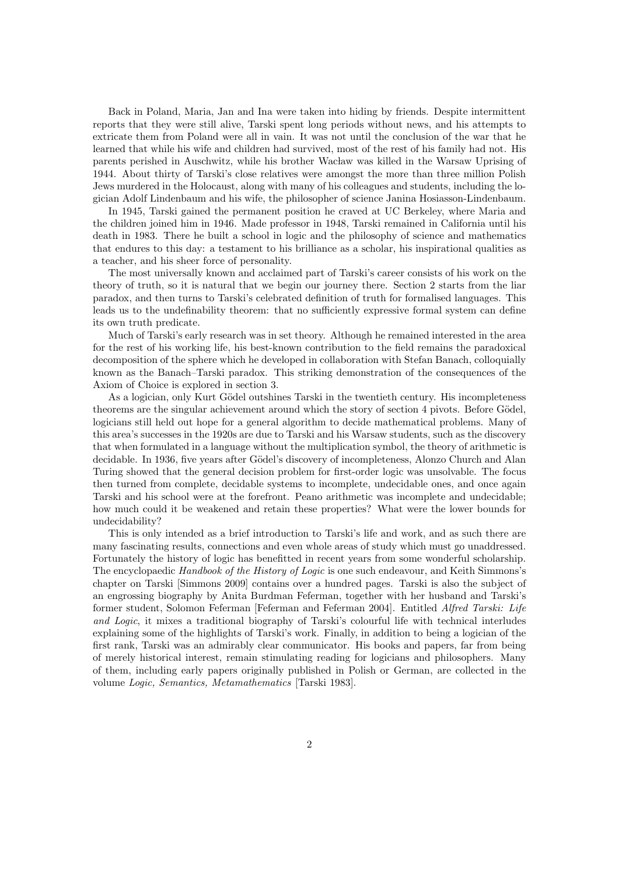Back in Poland, Maria, Jan and Ina were taken into hiding by friends. Despite intermittent reports that they were still alive, Tarski spent long periods without news, and his attempts to extricate them from Poland were all in vain. It was not until the conclusion of the war that he learned that while his wife and children had survived, most of the rest of his family had not. His parents perished in Auschwitz, while his brother Wacław was killed in the Warsaw Uprising of 1944. About thirty of Tarski's close relatives were amongst the more than three million Polish Jews murdered in the Holocaust, along with many of his colleagues and students, including the logician Adolf Lindenbaum and his wife, the philosopher of science Janina Hosiasson-Lindenbaum.

In 1945, Tarski gained the permanent position he craved at UC Berkeley, where Maria and the children joined him in 1946. Made professor in 1948, Tarski remained in California until his death in 1983. There he built a school in logic and the philosophy of science and mathematics that endures to this day: a testament to his brilliance as a scholar, his inspirational qualities as a teacher, and his sheer force of personality.

The most universally known and acclaimed part of Tarski's career consists of his work on the theory of truth, so it is natural that we begin our journey there. Section [2](#page-2-0) starts from the liar paradox, and then turns to Tarski's celebrated definition of truth for formalised languages. This leads us to the undefinability theorem: that no sufficiently expressive formal system can define its own truth predicate.

Much of Tarski's early research was in set theory. Although he remained interested in the area for the rest of his working life, his best-known contribution to the field remains the paradoxical decomposition of the sphere which he developed in collaboration with Stefan Banach, colloquially known as the Banach–Tarski paradox. This striking demonstration of the consequences of the Axiom of Choice is explored in section [3.](#page-6-0)

As a logician, only Kurt Gödel outshines Tarski in the twentieth century. His incompleteness theorems are the singular achievement around which the story of section [4](#page-8-0) pivots. Before Gödel, logicians still held out hope for a general algorithm to decide mathematical problems. Many of this area's successes in the 1920s are due to Tarski and his Warsaw students, such as the discovery that when formulated in a language without the multiplication symbol, the theory of arithmetic is decidable. In 1936, five years after Gödel's discovery of incompleteness, Alonzo Church and Alan Turing showed that the general decision problem for first-order logic was unsolvable. The focus then turned from complete, decidable systems to incomplete, undecidable ones, and once again Tarski and his school were at the forefront. Peano arithmetic was incomplete and undecidable; how much could it be weakened and retain these properties? What were the lower bounds for undecidability?

This is only intended as a brief introduction to Tarski's life and work, and as such there are many fascinating results, connections and even whole areas of study which must go unaddressed. Fortunately the history of logic has benefitted in recent years from some wonderful scholarship. The encyclopaedic Handbook of the History of Logic is one such endeavour, and Keith Simmons's chapter on Tarski [\[Simmons](#page-13-0) [2009\]](#page-13-0) contains over a hundred pages. Tarski is also the subject of an engrossing biography by Anita Burdman Feferman, together with her husband and Tarski's former student, Solomon Feferman [\[Feferman and Feferman](#page-12-0) [2004\]](#page-12-0). Entitled Alfred Tarski: Life and Logic, it mixes a traditional biography of Tarski's colourful life with technical interludes explaining some of the highlights of Tarski's work. Finally, in addition to being a logician of the first rank, Tarski was an admirably clear communicator. His books and papers, far from being of merely historical interest, remain stimulating reading for logicians and philosophers. Many of them, including early papers originally published in Polish or German, are collected in the volume Logic, Semantics, Metamathematics [\[Tarski](#page-13-1) [1983\]](#page-13-1).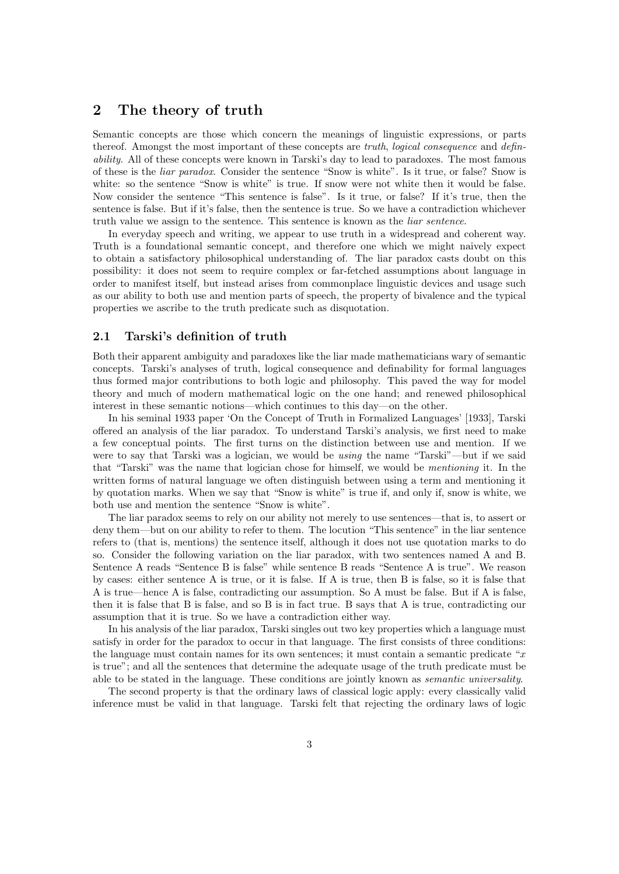# <span id="page-2-0"></span>2 The theory of truth

Semantic concepts are those which concern the meanings of linguistic expressions, or parts thereof. Amongst the most important of these concepts are truth, logical consequence and definability. All of these concepts were known in Tarski's day to lead to paradoxes. The most famous of these is the liar paradox. Consider the sentence "Snow is white". Is it true, or false? Snow is white: so the sentence "Snow is white" is true. If snow were not white then it would be false. Now consider the sentence "This sentence is false". Is it true, or false? If it's true, then the sentence is false. But if it's false, then the sentence is true. So we have a contradiction whichever truth value we assign to the sentence. This sentence is known as the liar sentence.

In everyday speech and writing, we appear to use truth in a widespread and coherent way. Truth is a foundational semantic concept, and therefore one which we might naively expect to obtain a satisfactory philosophical understanding of. The liar paradox casts doubt on this possibility: it does not seem to require complex or far-fetched assumptions about language in order to manifest itself, but instead arises from commonplace linguistic devices and usage such as our ability to both use and mention parts of speech, the property of bivalence and the typical properties we ascribe to the truth predicate such as disquotation.

### 2.1 Tarski's definition of truth

Both their apparent ambiguity and paradoxes like the liar made mathematicians wary of semantic concepts. Tarski's analyses of truth, logical consequence and definability for formal languages thus formed major contributions to both logic and philosophy. This paved the way for model theory and much of modern mathematical logic on the one hand; and renewed philosophical interest in these semantic notions—which continues to this day—on the other.

In his seminal 1933 paper 'On the Concept of Truth in Formalized Languages' [\[1933\]](#page-13-2), Tarski offered an analysis of the liar paradox. To understand Tarski's analysis, we first need to make a few conceptual points. The first turns on the distinction between use and mention. If we were to say that Tarski was a logician, we would be using the name "Tarski"—but if we said that "Tarski" was the name that logician chose for himself, we would be mentioning it. In the written forms of natural language we often distinguish between using a term and mentioning it by quotation marks. When we say that "Snow is white" is true if, and only if, snow is white, we both use and mention the sentence "Snow is white".

The liar paradox seems to rely on our ability not merely to use sentences—that is, to assert or deny them—but on our ability to refer to them. The locution "This sentence" in the liar sentence refers to (that is, mentions) the sentence itself, although it does not use quotation marks to do so. Consider the following variation on the liar paradox, with two sentences named A and B. Sentence A reads "Sentence B is false" while sentence B reads "Sentence A is true". We reason by cases: either sentence A is true, or it is false. If A is true, then B is false, so it is false that A is true—hence A is false, contradicting our assumption. So A must be false. But if A is false, then it is false that B is false, and so B is in fact true. B says that A is true, contradicting our assumption that it is true. So we have a contradiction either way.

In his analysis of the liar paradox, Tarski singles out two key properties which a language must satisfy in order for the paradox to occur in that language. The first consists of three conditions: the language must contain names for its own sentences; it must contain a semantic predicate "x is true"; and all the sentences that determine the adequate usage of the truth predicate must be able to be stated in the language. These conditions are jointly known as semantic universality.

The second property is that the ordinary laws of classical logic apply: every classically valid inference must be valid in that language. Tarski felt that rejecting the ordinary laws of logic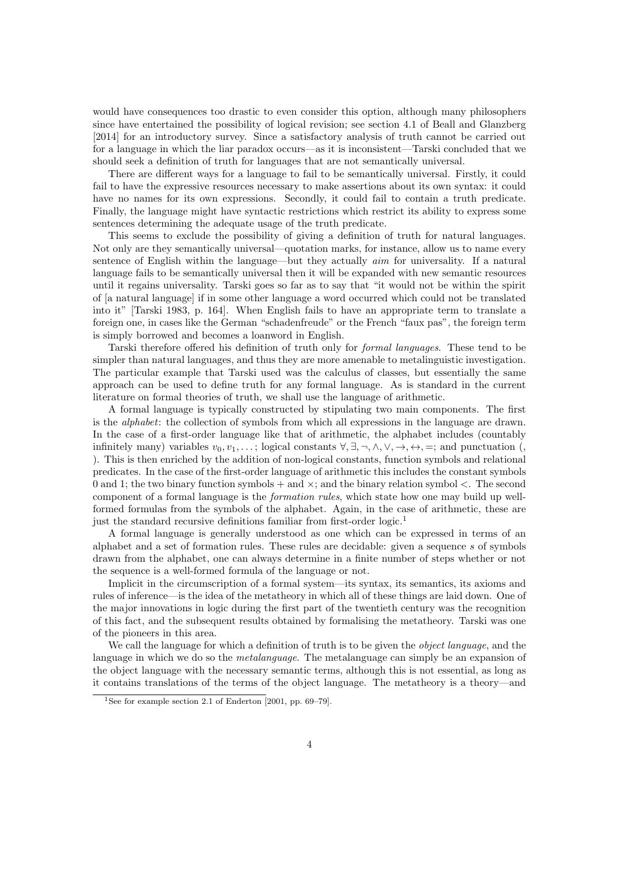would have consequences too drastic to even consider this option, although many philosophers since have entertained the possibility of logical revision; see section 4.1 of [Beall and Glanzberg](#page-12-1) [\[2014\]](#page-12-1) for an introductory survey. Since a satisfactory analysis of truth cannot be carried out for a language in which the liar paradox occurs—as it is inconsistent—Tarski concluded that we should seek a definition of truth for languages that are not semantically universal.

There are different ways for a language to fail to be semantically universal. Firstly, it could fail to have the expressive resources necessary to make assertions about its own syntax: it could have no names for its own expressions. Secondly, it could fail to contain a truth predicate. Finally, the language might have syntactic restrictions which restrict its ability to express some sentences determining the adequate usage of the truth predicate.

This seems to exclude the possibility of giving a definition of truth for natural languages. Not only are they semantically universal—quotation marks, for instance, allow us to name every sentence of English within the language—but they actually *aim* for universality. If a natural language fails to be semantically universal then it will be expanded with new semantic resources until it regains universality. Tarski goes so far as to say that "it would not be within the spirit of [a natural language] if in some other language a word occurred which could not be translated into it" [\[Tarski](#page-13-1) [1983,](#page-13-1) p. 164]. When English fails to have an appropriate term to translate a foreign one, in cases like the German "schadenfreude" or the French "faux pas", the foreign term is simply borrowed and becomes a loanword in English.

Tarski therefore offered his definition of truth only for formal languages. These tend to be simpler than natural languages, and thus they are more amenable to metalinguistic investigation. The particular example that Tarski used was the calculus of classes, but essentially the same approach can be used to define truth for any formal language. As is standard in the current literature on formal theories of truth, we shall use the language of arithmetic.

A formal language is typically constructed by stipulating two main components. The first is the alphabet: the collection of symbols from which all expressions in the language are drawn. In the case of a first-order language like that of arithmetic, the alphabet includes (countably infinitely many) variables  $v_0, v_1, \ldots$ ; logical constants  $\forall, \exists, \neg, \wedge, \vee, \rightarrow, \leftrightarrow, =$ ; and punctuation (, ). This is then enriched by the addition of non-logical constants, function symbols and relational predicates. In the case of the first-order language of arithmetic this includes the constant symbols 0 and 1; the two binary function symbols  $+$  and  $\times$ ; and the binary relation symbol  $\lt$ . The second component of a formal language is the formation rules, which state how one may build up wellformed formulas from the symbols of the alphabet. Again, in the case of arithmetic, these are just the standard recursive definitions familiar from first-order logic.<sup>[1](#page-3-0)</sup>

A formal language is generally understood as one which can be expressed in terms of an alphabet and a set of formation rules. These rules are decidable: given a sequence s of symbols drawn from the alphabet, one can always determine in a finite number of steps whether or not the sequence is a well-formed formula of the language or not.

Implicit in the circumscription of a formal system—its syntax, its semantics, its axioms and rules of inference—is the idea of the metatheory in which all of these things are laid down. One of the major innovations in logic during the first part of the twentieth century was the recognition of this fact, and the subsequent results obtained by formalising the metatheory. Tarski was one of the pioneers in this area.

We call the language for which a definition of truth is to be given the *object language*, and the language in which we do so the *metalanguage*. The metalanguage can simply be an expansion of the object language with the necessary semantic terms, although this is not essential, as long as it contains translations of the terms of the object language. The metatheory is a theory—and

<span id="page-3-0"></span><sup>1</sup>See for example section 2.1 of [Enderton](#page-12-2) [\[2001,](#page-12-2) pp. 69–79].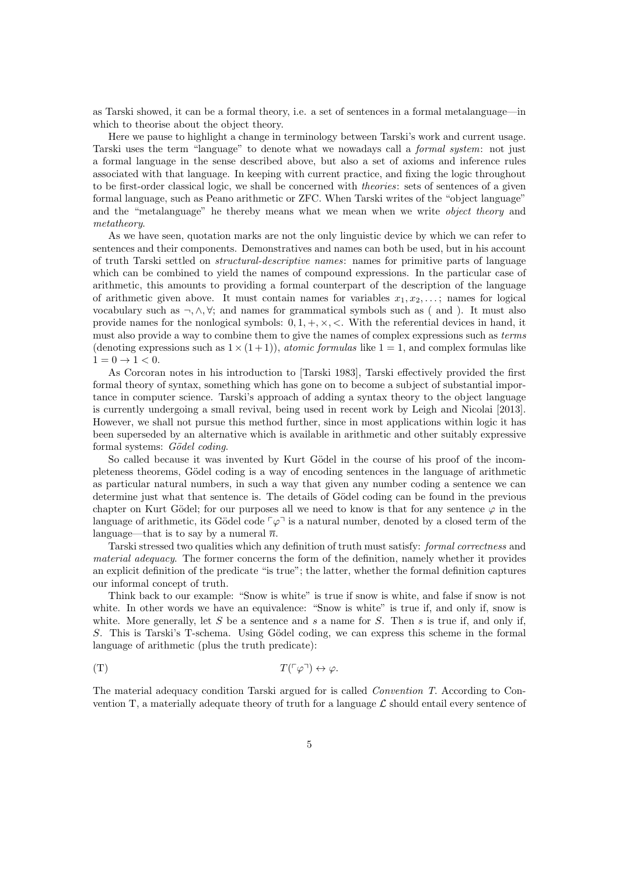as Tarski showed, it can be a formal theory, i.e. a set of sentences in a formal metalanguage—in which to theorise about the object theory.

Here we pause to highlight a change in terminology between Tarski's work and current usage. Tarski uses the term "language" to denote what we nowadays call a *formal system*: not just a formal language in the sense described above, but also a set of axioms and inference rules associated with that language. In keeping with current practice, and fixing the logic throughout to be first-order classical logic, we shall be concerned with theories: sets of sentences of a given formal language, such as Peano arithmetic or ZFC. When Tarski writes of the "object language" and the "metalanguage" he thereby means what we mean when we write object theory and metatheory.

As we have seen, quotation marks are not the only linguistic device by which we can refer to sentences and their components. Demonstratives and names can both be used, but in his account of truth Tarski settled on structural-descriptive names: names for primitive parts of language which can be combined to yield the names of compound expressions. In the particular case of arithmetic, this amounts to providing a formal counterpart of the description of the language of arithmetic given above. It must contain names for variables  $x_1, x_2, \ldots$ ; names for logical vocabulary such as  $\neg, \wedge, \forall$ ; and names for grammatical symbols such as ( and ). It must also provide names for the nonlogical symbols:  $0, 1, +, \times, \times$ . With the referential devices in hand, it must also provide a way to combine them to give the names of complex expressions such as terms (denoting expressions such as  $1 \times (1 + 1)$ ), atomic formulas like  $1 = 1$ , and complex formulas like  $1 = 0 \rightarrow 1 < 0.$ 

As Corcoran notes in his introduction to [\[Tarski](#page-13-1) [1983\]](#page-13-1), Tarski effectively provided the first formal theory of syntax, something which has gone on to become a subject of substantial importance in computer science. Tarski's approach of adding a syntax theory to the object language is currently undergoing a small revival, being used in recent work by [Leigh and Nicolai](#page-13-3) [\[2013\]](#page-13-3). However, we shall not pursue this method further, since in most applications within logic it has been superseded by an alternative which is available in arithmetic and other suitably expressive formal systems: Gödel coding.

So called because it was invented by Kurt Gödel in the course of his proof of the incompleteness theorems, Gödel coding is a way of encoding sentences in the language of arithmetic as particular natural numbers, in such a way that given any number coding a sentence we can determine just what that sentence is. The details of Gödel coding can be found in the previous chapter on Kurt Gödel; for our purposes all we need to know is that for any sentence  $\varphi$  in the language of arithmetic, its Gödel code  $\lceil \varphi \rceil$  is a natural number, denoted by a closed term of the language—that is to say by a numeral  $\bar{n}$ .

Tarski stressed two qualities which any definition of truth must satisfy: formal correctness and material adequacy. The former concerns the form of the definition, namely whether it provides an explicit definition of the predicate "is true"; the latter, whether the formal definition captures our informal concept of truth.

Think back to our example: "Snow is white" is true if snow is white, and false if snow is not white. In other words we have an equivalence: "Snow is white" is true if, and only if, snow is white. More generally, let S be a sentence and s a name for S. Then s is true if, and only if, S. This is Tarski's T-schema. Using Gödel coding, we can express this scheme in the formal language of arithmetic (plus the truth predicate):

<span id="page-4-0"></span>
$$
(T) \t\t T(\ulcorner \varphi \urcorner) \leftrightarrow \varphi.
$$

The material adequacy condition Tarski argued for is called Convention T. According to Convention T, a materially adequate theory of truth for a language  $\mathcal L$  should entail every sentence of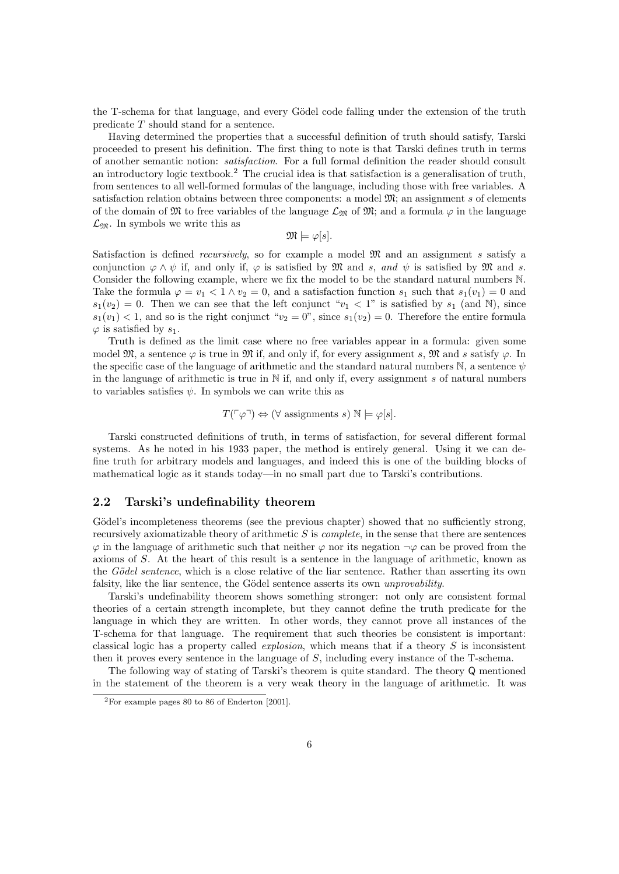the [T-schema](#page-4-0) for that language, and every Gödel code falling under the extension of the truth predicate T should stand for a sentence.

Having determined the properties that a successful definition of truth should satisfy, Tarski proceeded to present his definition. The first thing to note is that Tarski defines truth in terms of another semantic notion: satisfaction. For a full formal definition the reader should consult an introductory logic textbook.<sup>[2](#page-5-0)</sup> The crucial idea is that satisfaction is a generalisation of truth, from sentences to all well-formed formulas of the language, including those with free variables. A satisfaction relation obtains between three components: a model  $\mathfrak{M}$ ; an assignment s of elements of the domain of M to free variables of the language  $\mathcal{L}_{\mathfrak{M}}$  of M; and a formula  $\varphi$  in the language  $\mathcal{L}_{\mathfrak{M}}$ . In symbols we write this as

$$
\mathfrak{M} \models \varphi[s].
$$

Satisfaction is defined *recursively*, so for example a model  $\mathfrak{M}$  and an assignment s satisfy a conjunction  $\varphi \wedge \psi$  if, and only if,  $\varphi$  is satisfied by M and s, and  $\psi$  is satisfied by M and s. Consider the following example, where we fix the model to be the standard natural numbers N. Take the formula  $\varphi = v_1 < 1 \wedge v_2 = 0$ , and a satisfaction function  $s_1$  such that  $s_1(v_1) = 0$  and  $s_1(v_2) = 0$ . Then we can see that the left conjunct " $v_1 < 1$ " is satisfied by  $s_1$  (and N), since  $s_1(v_1) < 1$ , and so is the right conjunct " $v_2 = 0$ ", since  $s_1(v_2) = 0$ . Therefore the entire formula  $\varphi$  is satisfied by  $s_1$ .

Truth is defined as the limit case where no free variables appear in a formula: given some model  $\mathfrak{M}$ , a sentence  $\varphi$  is true in  $\mathfrak{M}$  if, and only if, for every assignment s,  $\mathfrak{M}$  and s satisfy  $\varphi$ . In the specific case of the language of arithmetic and the standard natural numbers  $\mathbb{N}$ , a sentence  $\psi$ in the language of arithmetic is true in  $N$  if, and only if, every assignment s of natural numbers to variables satisfies  $\psi$ . In symbols we can write this as

$$
T(\ulcorner \varphi \urcorner) \Leftrightarrow (\forall \text{ assignments } s) \mathbb{N} \models \varphi[s].
$$

Tarski constructed definitions of truth, in terms of satisfaction, for several different formal systems. As he noted in his 1933 paper, the method is entirely general. Using it we can define truth for arbitrary models and languages, and indeed this is one of the building blocks of mathematical logic as it stands today—in no small part due to Tarski's contributions.

### 2.2 Tarski's undefinability theorem

Gödel's incompleteness theorems (see the previous chapter) showed that no sufficiently strong, recursively axiomatizable theory of arithmetic  $S$  is *complete*, in the sense that there are sentences  $\varphi$  in the language of arithmetic such that neither  $\varphi$  nor its negation  $\neg \varphi$  can be proved from the axioms of S. At the heart of this result is a sentence in the language of arithmetic, known as the Gödel sentence, which is a close relative of the liar sentence. Rather than asserting its own falsity, like the liar sentence, the Gödel sentence asserts its own unprovability.

Tarski's undefinability theorem shows something stronger: not only are consistent formal theories of a certain strength incomplete, but they cannot define the truth predicate for the language in which they are written. In other words, they cannot prove all instances of the T-schema for that language. The requirement that such theories be consistent is important: classical logic has a property called *explosion*, which means that if a theory  $S$  is inconsistent then it proves every sentence in the language of S, including every instance of the T-schema.

The following way of stating of Tarski's theorem is quite standard. The theory Q mentioned in the statement of the theorem is a very weak theory in the language of arithmetic. It was

<span id="page-5-0"></span><sup>2</sup>For example pages 80 to 86 of [Enderton](#page-12-2) [\[2001\]](#page-12-2).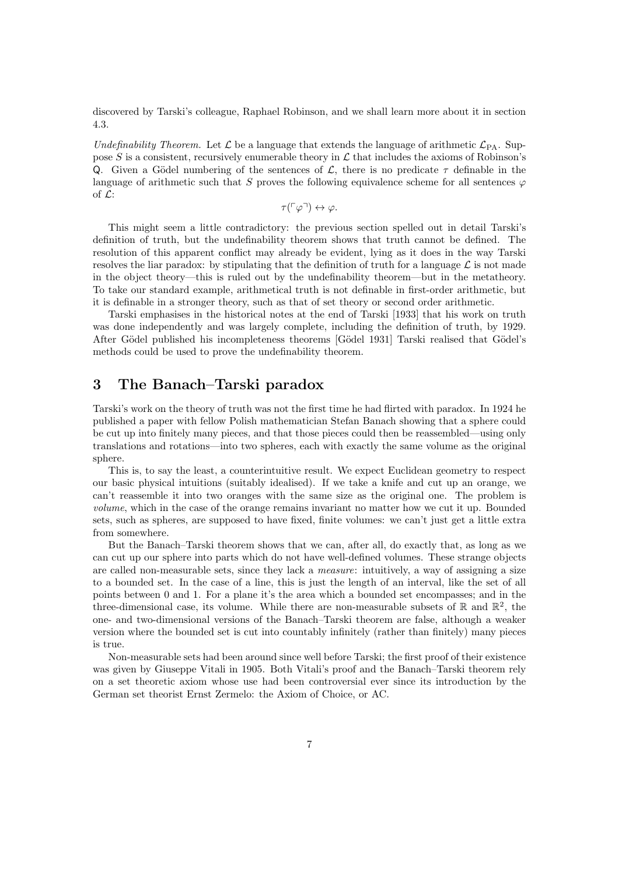discovered by Tarski's colleague, Raphael Robinson, and we shall learn more about it in section [4.3.](#page-11-0)

Undefinability Theorem. Let  $\mathcal{L}$  be a language that extends the language of arithmetic  $\mathcal{L}_{PA}$ . Suppose S is a consistent, recursively enumerable theory in  $\mathcal L$  that includes the axioms of Robinson's Q. Given a Gödel numbering of the sentences of  $\mathcal{L}$ , there is no predicate  $\tau$  definable in the language of arithmetic such that S proves the following equivalence scheme for all sentences  $\varphi$ of  $\mathcal{L}$ :

$$
\tau(\ulcorner\varphi\urcorner)\leftrightarrow\varphi.
$$

This might seem a little contradictory: the previous section spelled out in detail Tarski's definition of truth, but the undefinability theorem shows that truth cannot be defined. The resolution of this apparent conflict may already be evident, lying as it does in the way Tarski resolves the liar paradox: by stipulating that the definition of truth for a language  $\mathcal L$  is not made in the object theory—this is ruled out by the undefinability theorem—but in the metatheory. To take our standard example, arithmetical truth is not definable in first-order arithmetic, but it is definable in a stronger theory, such as that of set theory or second order arithmetic.

Tarski emphasises in the historical notes at the end of [Tarski](#page-13-2) [\[1933\]](#page-13-2) that his work on truth was done independently and was largely complete, including the definition of truth, by 1929. After Gödel published his incompleteness theorems [Gödel [1931\]](#page-12-3) Tarski realised that Gödel's methods could be used to prove the undefinability theorem.

# <span id="page-6-0"></span>3 The Banach–Tarski paradox

Tarski's work on the theory of truth was not the first time he had flirted with paradox. In 1924 he published a paper with fellow Polish mathematician Stefan Banach showing that a sphere could be cut up into finitely many pieces, and that those pieces could then be reassembled—using only translations and rotations—into two spheres, each with exactly the same volume as the original sphere.

This is, to say the least, a counterintuitive result. We expect Euclidean geometry to respect our basic physical intuitions (suitably idealised). If we take a knife and cut up an orange, we can't reassemble it into two oranges with the same size as the original one. The problem is volume, which in the case of the orange remains invariant no matter how we cut it up. Bounded sets, such as spheres, are supposed to have fixed, finite volumes: we can't just get a little extra from somewhere.

But the Banach–Tarski theorem shows that we can, after all, do exactly that, as long as we can cut up our sphere into parts which do not have well-defined volumes. These strange objects are called non-measurable sets, since they lack a measure: intuitively, a way of assigning a size to a bounded set. In the case of a line, this is just the length of an interval, like the set of all points between 0 and 1. For a plane it's the area which a bounded set encompasses; and in the three-dimensional case, its volume. While there are non-measurable subsets of  $\mathbb R$  and  $\mathbb R^2$ , the one- and two-dimensional versions of the Banach–Tarski theorem are false, although a weaker version where the bounded set is cut into countably infinitely (rather than finitely) many pieces is true.

Non-measurable sets had been around since well before Tarski; the first proof of their existence was given by Giuseppe Vitali in 1905. Both Vitali's proof and the Banach–Tarski theorem rely on a set theoretic axiom whose use had been controversial ever since its introduction by the German set theorist Ernst Zermelo: the Axiom of Choice, or AC.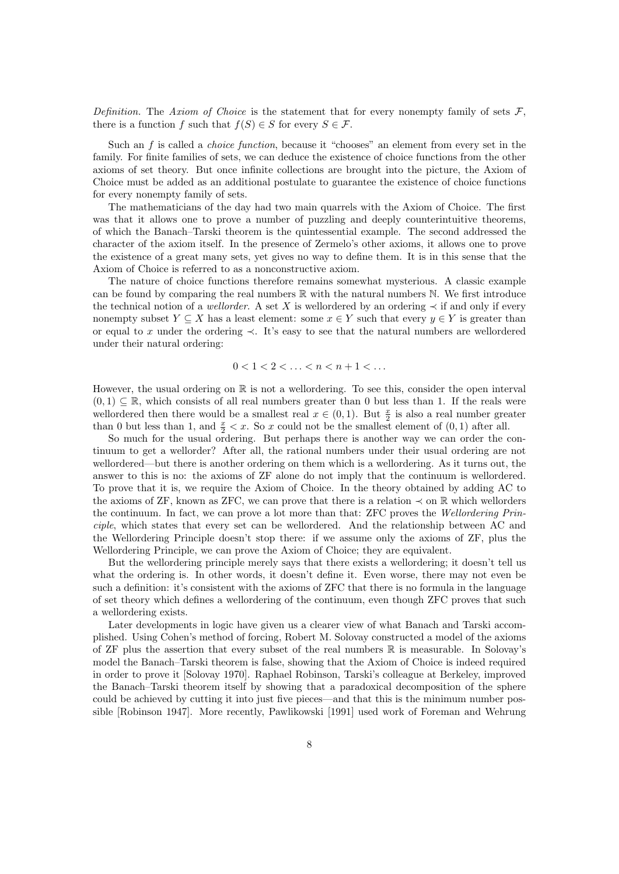Definition. The Axiom of Choice is the statement that for every nonempty family of sets  $\mathcal{F}$ , there is a function f such that  $f(S) \in S$  for every  $S \in \mathcal{F}$ .

Such an f is called a choice function, because it "chooses" an element from every set in the family. For finite families of sets, we can deduce the existence of choice functions from the other axioms of set theory. But once infinite collections are brought into the picture, the Axiom of Choice must be added as an additional postulate to guarantee the existence of choice functions for every nonempty family of sets.

The mathematicians of the day had two main quarrels with the Axiom of Choice. The first was that it allows one to prove a number of puzzling and deeply counterintuitive theorems, of which the Banach–Tarski theorem is the quintessential example. The second addressed the character of the axiom itself. In the presence of Zermelo's other axioms, it allows one to prove the existence of a great many sets, yet gives no way to define them. It is in this sense that the Axiom of Choice is referred to as a nonconstructive axiom.

The nature of choice functions therefore remains somewhat mysterious. A classic example can be found by comparing the real numbers  $\mathbb R$  with the natural numbers  $\mathbb N$ . We first introduce the technical notion of a *wellorder*. A set X is wellordered by an ordering  $\prec$  if and only if every nonempty subset  $Y \subseteq X$  has a least element: some  $x \in Y$  such that every  $y \in Y$  is greater than or equal to x under the ordering ≺. It's easy to see that the natural numbers are wellordered under their natural ordering:

$$
0<1<2<\ldots
$$

However, the usual ordering on  $\mathbb R$  is not a wellordering. To see this, consider the open interval  $(0, 1) \subseteq \mathbb{R}$ , which consists of all real numbers greater than 0 but less than 1. If the reals were wellordered then there would be a smallest real  $x \in (0,1)$ . But  $\frac{x}{2}$  is also a real number greater than 0 but less than 1, and  $\frac{x}{2} < x$ . So x could not be the smallest element of  $(0, 1)$  after all.

So much for the usual ordering. But perhaps there is another way we can order the continuum to get a wellorder? After all, the rational numbers under their usual ordering are not wellordered—but there is another ordering on them which is a wellordering. As it turns out, the answer to this is no: the axioms of ZF alone do not imply that the continuum is wellordered. To prove that it is, we require the Axiom of Choice. In the theory obtained by adding AC to the axioms of ZF, known as ZFC, we can prove that there is a relation  $\prec$  on R which wellorders the continuum. In fact, we can prove a lot more than that: ZFC proves the Wellordering Principle, which states that every set can be wellordered. And the relationship between AC and the Wellordering Principle doesn't stop there: if we assume only the axioms of ZF, plus the Wellordering Principle, we can prove the Axiom of Choice; they are equivalent.

But the wellordering principle merely says that there exists a wellordering; it doesn't tell us what the ordering is. In other words, it doesn't define it. Even worse, there may not even be such a definition: it's consistent with the axioms of ZFC that there is no formula in the language of set theory which defines a wellordering of the continuum, even though ZFC proves that such a wellordering exists.

Later developments in logic have given us a clearer view of what Banach and Tarski accomplished. Using Cohen's method of forcing, Robert M. Solovay constructed a model of the axioms of ZF plus the assertion that every subset of the real numbers  $\mathbb R$  is measurable. In Solovay's model the Banach–Tarski theorem is false, showing that the Axiom of Choice is indeed required in order to prove it [\[Solovay](#page-13-4) [1970\]](#page-13-4). Raphael Robinson, Tarski's colleague at Berkeley, improved the Banach–Tarski theorem itself by showing that a paradoxical decomposition of the sphere could be achieved by cutting it into just five pieces—and that this is the minimum number possible [\[Robinson](#page-13-5) [1947\]](#page-13-5). More recently, [Pawlikowski](#page-13-6) [\[1991\]](#page-13-6) used work of [Foreman and Wehrung](#page-12-4)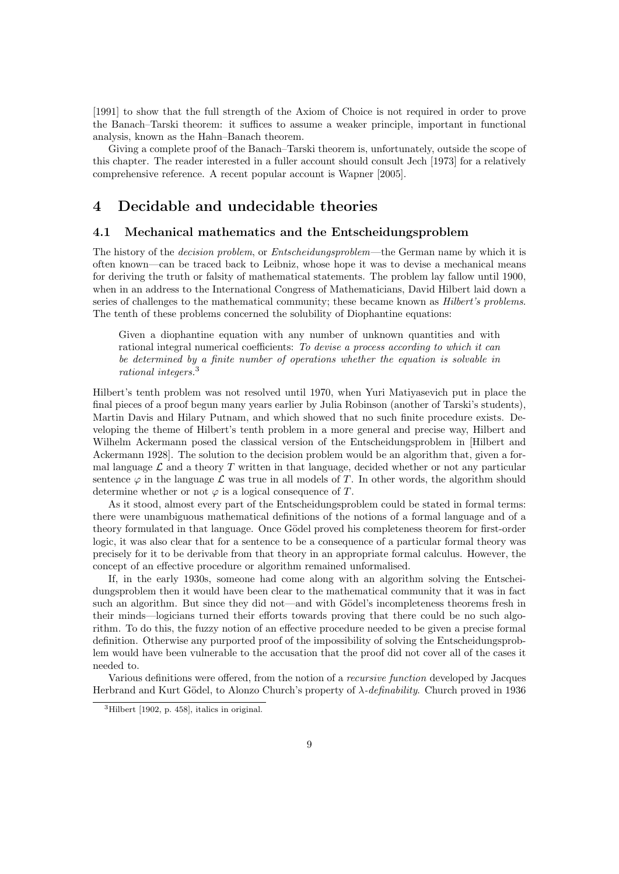[\[1991\]](#page-12-4) to show that the full strength of the Axiom of Choice is not required in order to prove the Banach–Tarski theorem: it suffices to assume a weaker principle, important in functional analysis, known as the Hahn–Banach theorem.

Giving a complete proof of the Banach–Tarski theorem is, unfortunately, outside the scope of this chapter. The reader interested in a fuller account should consult [Jech](#page-13-7) [\[1973\]](#page-13-7) for a relatively comprehensive reference. A recent popular account is [Wapner](#page-14-0) [\[2005\]](#page-14-0).

# <span id="page-8-0"></span>4 Decidable and undecidable theories

### 4.1 Mechanical mathematics and the Entscheidungsproblem

The history of the decision problem, or Entscheidungsproblem—the German name by which it is often known—can be traced back to Leibniz, whose hope it was to devise a mechanical means for deriving the truth or falsity of mathematical statements. The problem lay fallow until 1900, when in an address to the International Congress of Mathematicians, David Hilbert laid down a series of challenges to the mathematical community; these became known as *Hilbert's problems*. The tenth of these problems concerned the solubility of Diophantine equations:

Given a diophantine equation with any number of unknown quantities and with rational integral numerical coefficients: To devise a process according to which it can be determined by a finite number of operations whether the equation is solvable in rational integers.[3](#page-8-1)

Hilbert's tenth problem was not resolved until 1970, when Yuri Matiyasevich put in place the final pieces of a proof begun many years earlier by Julia Robinson (another of Tarski's students), Martin Davis and Hilary Putnam, and which showed that no such finite procedure exists. Developing the theme of Hilbert's tenth problem in a more general and precise way, Hilbert and Wilhelm Ackermann posed the classical version of the Entscheidungsproblem in [\[Hilbert and](#page-13-8) [Ackermann](#page-13-8) [1928\]](#page-13-8). The solution to the decision problem would be an algorithm that, given a formal language  $\mathcal L$  and a theory  $T$  written in that language, decided whether or not any particular sentence  $\varphi$  in the language  $\mathcal L$  was true in all models of T. In other words, the algorithm should determine whether or not  $\varphi$  is a logical consequence of T.

As it stood, almost every part of the Entscheidungsproblem could be stated in formal terms: there were unambiguous mathematical definitions of the notions of a formal language and of a theory formulated in that language. Once Gödel proved his completeness theorem for first-order logic, it was also clear that for a sentence to be a consequence of a particular formal theory was precisely for it to be derivable from that theory in an appropriate formal calculus. However, the concept of an effective procedure or algorithm remained unformalised.

If, in the early 1930s, someone had come along with an algorithm solving the Entscheidungsproblem then it would have been clear to the mathematical community that it was in fact such an algorithm. But since they did not—and with Gödel's incompleteness theorems fresh in their minds—logicians turned their efforts towards proving that there could be no such algorithm. To do this, the fuzzy notion of an effective procedure needed to be given a precise formal definition. Otherwise any purported proof of the impossibility of solving the Entscheidungsproblem would have been vulnerable to the accusation that the proof did not cover all of the cases it needed to.

Various definitions were offered, from the notion of a recursive function developed by Jacques Herbrand and Kurt Gödel, to Alonzo Church's property of  $\lambda$ -definability. Church proved in 1936

<span id="page-8-1"></span><sup>3</sup>[Hilbert](#page-13-9) [\[1902,](#page-13-9) p. 458], italics in original.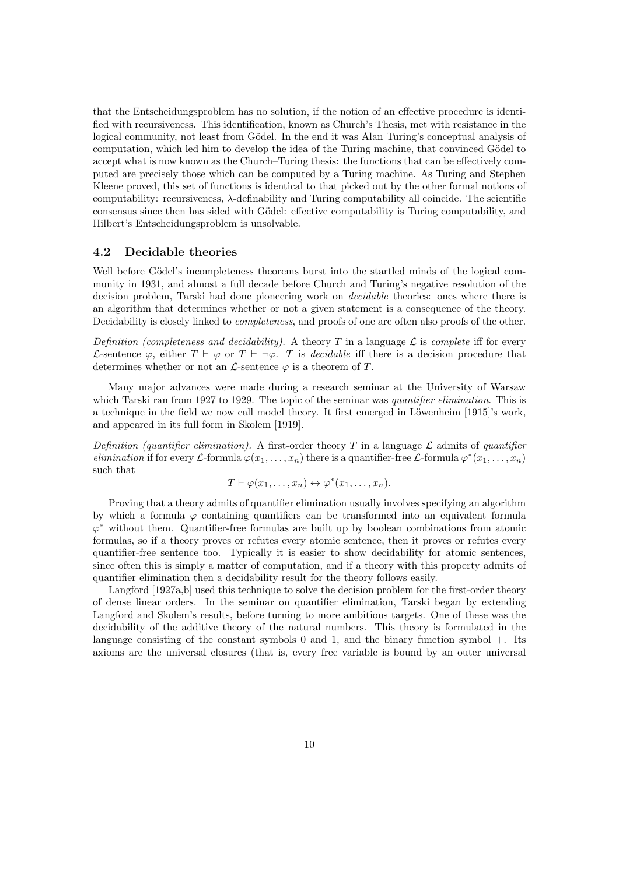that the Entscheidungsproblem has no solution, if the notion of an effective procedure is identified with recursiveness. This identification, known as Church's Thesis, met with resistance in the logical community, not least from Gödel. In the end it was Alan Turing's conceptual analysis of computation, which led him to develop the idea of the Turing machine, that convinced Gödel to accept what is now known as the Church–Turing thesis: the functions that can be effectively computed are precisely those which can be computed by a Turing machine. As Turing and Stephen Kleene proved, this set of functions is identical to that picked out by the other formal notions of computability: recursiveness,  $\lambda$ -definability and Turing computability all coincide. The scientific consensus since then has sided with Gödel: effective computability is Turing computability, and Hilbert's Entscheidungsproblem is unsolvable.

#### 4.2 Decidable theories

Well before Gödel's incompleteness theorems burst into the startled minds of the logical community in 1931, and almost a full decade before Church and Turing's negative resolution of the decision problem, Tarski had done pioneering work on decidable theories: ones where there is an algorithm that determines whether or not a given statement is a consequence of the theory. Decidability is closely linked to completeness, and proofs of one are often also proofs of the other.

Definition (completeness and decidability). A theory T in a language  $\mathcal L$  is complete iff for every L-sentence  $\varphi$ , either  $T \vdash \varphi$  or  $T \vdash \neg \varphi$ . T is *decidable* iff there is a decision procedure that determines whether or not an  $\mathcal{L}$ -sentence  $\varphi$  is a theorem of T.

Many major advances were made during a research seminar at the University of Warsaw which Tarski ran from 1927 to 1929. The topic of the seminar was *quantifier elimination*. This is a technique in the field we now call model theory. It first emerged in Löwenheim [\[1915\]](#page-13-10)'s work, and appeared in its full form in [Skolem](#page-13-11) [\[1919\]](#page-13-11).

Definition (quantifier elimination). A first-order theory T in a language  $\mathcal L$  admits of quantifier *elimination* if for every  $\mathcal{L}$ -formula  $\varphi(x_1,\ldots,x_n)$  there is a quantifier-free  $\mathcal{L}$ -formula  $\varphi^*(x_1,\ldots,x_n)$ such that

$$
T \vdash \varphi(x_1, \ldots, x_n) \leftrightarrow \varphi^*(x_1, \ldots, x_n).
$$

Proving that a theory admits of quantifier elimination usually involves specifying an algorithm by which a formula  $\varphi$  containing quantifiers can be transformed into an equivalent formula  $\varphi^*$  without them. Quantifier-free formulas are built up by boolean combinations from atomic formulas, so if a theory proves or refutes every atomic sentence, then it proves or refutes every quantifier-free sentence too. Typically it is easier to show decidability for atomic sentences, since often this is simply a matter of computation, and if a theory with this property admits of quantifier elimination then a decidability result for the theory follows easily.

[Langford](#page-13-12)  $[1927a,b]$  $[1927a,b]$  used this technique to solve the decision problem for the first-order theory of dense linear orders. In the seminar on quantifier elimination, Tarski began by extending Langford and Skolem's results, before turning to more ambitious targets. One of these was the decidability of the additive theory of the natural numbers. This theory is formulated in the language consisting of the constant symbols  $0$  and  $1$ , and the binary function symbol  $+$ . Its axioms are the universal closures (that is, every free variable is bound by an outer universal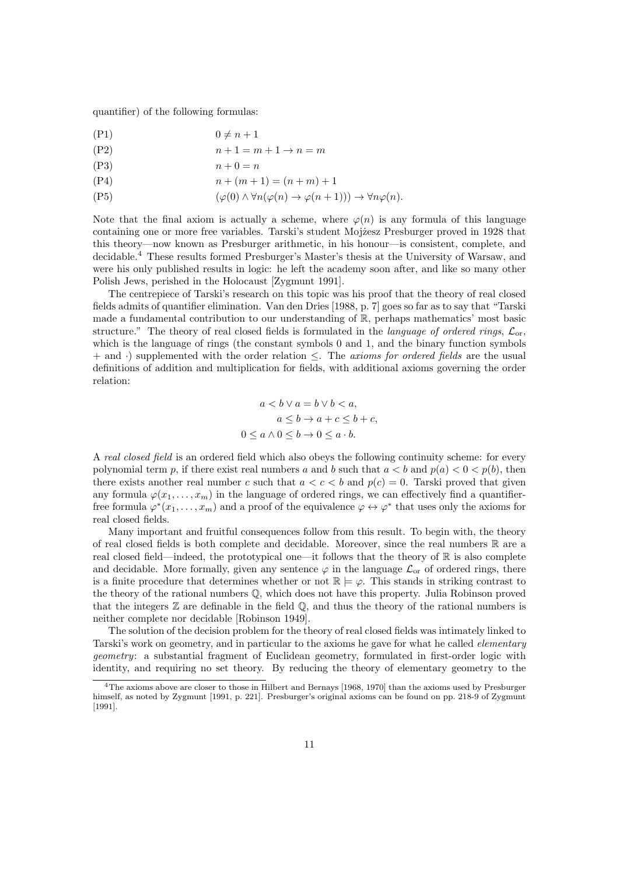quantifier) of the following formulas:

- $(P1)$   $0 \neq n + 1$
- (P2)  $n + 1 = m + 1 \rightarrow n = m$
- (P3)  $n + 0 = n$
- (P4)  $n + (m + 1) = (n + m) + 1$
- (P5)  $(\varphi(0) \wedge \forall n(\varphi(n) \rightarrow \varphi(n+1))) \rightarrow \forall n \varphi(n).$

Note that the final axiom is actually a scheme, where  $\varphi(n)$  is any formula of this language containing one or more free variables. Tarski's student Mojžesz Presburger proved in 1928 that this theory—now known as Presburger arithmetic, in his honour—is consistent, complete, and decidable.[4](#page-10-0) These results formed Presburger's Master's thesis at the University of Warsaw, and were his only published results in logic: he left the academy soon after, and like so many other Polish Jews, perished in the Holocaust [\[Zygmunt](#page-14-1) [1991\]](#page-14-1).

The centrepiece of Tarski's research on this topic was his proof that the theory of real closed fields admits of quantifier elimination. [Van den Dries](#page-14-2) [\[1988,](#page-14-2) p. 7] goes so far as to say that "Tarski made a fundamental contribution to our understanding of R, perhaps mathematics' most basic structure." The theory of real closed fields is formulated in the language of ordered rings,  $\mathcal{L}_{\text{or}}$ , which is the language of rings (the constant symbols 0 and 1, and the binary function symbols  $+$  and  $\cdot$ ) supplemented with the order relation  $\leq$ . The *axioms for ordered fields* are the usual definitions of addition and multiplication for fields, with additional axioms governing the order relation:

$$
a < b \lor a = b \lor b < a,
$$
  
\n
$$
a \le b \to a + c \le b + c,
$$
  
\n
$$
0 \le a \land 0 \le b \to 0 \le a \cdot b.
$$

A real closed field is an ordered field which also obeys the following continuity scheme: for every polynomial term p, if there exist real numbers a and b such that  $a < b$  and  $p(a) < 0 < p(b)$ , then there exists another real number c such that  $a < c < b$  and  $p(c) = 0$ . Tarski proved that given any formula  $\varphi(x_1, \ldots, x_m)$  in the language of ordered rings, we can effectively find a quantifierfree formula  $\varphi^*(x_1,\ldots,x_m)$  and a proof of the equivalence  $\varphi \leftrightarrow \varphi^*$  that uses only the axioms for real closed fields.

Many important and fruitful consequences follow from this result. To begin with, the theory of real closed fields is both complete and decidable. Moreover, since the real numbers R are a real closed field—indeed, the prototypical one—it follows that the theory of  $\mathbb R$  is also complete and decidable. More formally, given any sentence  $\varphi$  in the language  $\mathcal{L}_{\text{or}}$  of ordered rings, there is a finite procedure that determines whether or not  $\mathbb{R} \models \varphi$ . This stands in striking contrast to the theory of the rational numbers Q, which does not have this property. Julia Robinson proved that the integers  $\mathbb Z$  are definable in the field  $\mathbb Q$ , and thus the theory of the rational numbers is neither complete nor decidable [\[Robinson](#page-13-14) [1949\]](#page-13-14).

The solution of the decision problem for the theory of real closed fields was intimately linked to Tarski's work on geometry, and in particular to the axioms he gave for what he called *elementary* geometry: a substantial fragment of Euclidean geometry, formulated in first-order logic with identity, and requiring no set theory. By reducing the theory of elementary geometry to the

<span id="page-10-0"></span><sup>4</sup>The axioms above are closer to those in [Hilbert and Bernays](#page-13-15) [\[1968, 1970\]](#page-13-15) than the axioms used by Presburger himself, as noted by [Zygmunt](#page-14-1) [\[1991,](#page-14-1) p. 221]. Presburger's original axioms can be found on pp. 218-9 of [Zygmunt](#page-14-1) [\[1991\]](#page-14-1).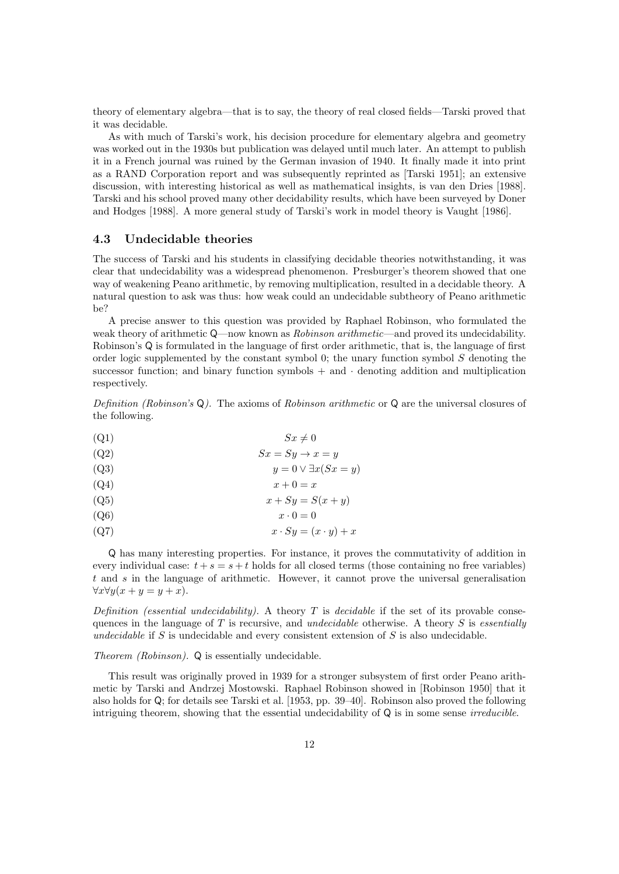theory of elementary algebra—that is to say, the theory of real closed fields—Tarski proved that it was decidable.

As with much of Tarski's work, his decision procedure for elementary algebra and geometry was worked out in the 1930s but publication was delayed until much later. An attempt to publish it in a French journal was ruined by the German invasion of 1940. It finally made it into print as a RAND Corporation report and was subsequently reprinted as [\[Tarski](#page-13-16) [1951\]](#page-13-16); an extensive discussion, with interesting historical as well as mathematical insights, is [van den Dries](#page-14-2) [\[1988\]](#page-14-2). Tarski and his school proved many other decidability results, which have been surveyed by [Doner](#page-12-5) [and Hodges](#page-12-5) [\[1988\]](#page-12-5). A more general study of Tarski's work in model theory is [Vaught](#page-14-3) [\[1986\]](#page-14-3).

### <span id="page-11-0"></span>4.3 Undecidable theories

The success of Tarski and his students in classifying decidable theories notwithstanding, it was clear that undecidability was a widespread phenomenon. Presburger's theorem showed that one way of weakening Peano arithmetic, by removing multiplication, resulted in a decidable theory. A natural question to ask was thus: how weak could an undecidable subtheory of Peano arithmetic be?

A precise answer to this question was provided by Raphael Robinson, who formulated the weak theory of arithmetic  $Q$ —now known as *Robinson arithmetic*—and proved its undecidability. Robinson's Q is formulated in the language of first order arithmetic, that is, the language of first order logic supplemented by the constant symbol  $\theta$ ; the unary function symbol  $S$  denoting the successor function; and binary function symbols  $+$  and  $\cdot$  denoting addition and multiplication respectively.

Definition (Robinson's Q). The axioms of Robinson arithmetic or Q are the universal closures of the following.

$$
(Q1) \t\t Sx \neq 0
$$

$$
(Q2) \t\t Sx = Sy \to x = y
$$

$$
(Q3) \t\t y = 0 \lor \exists x (Sx = y)
$$
  
(Q4) \t\t\t 
$$
x + 0 = x
$$

$$
(Q4) \t\t x + 0 = x
$$

$$
(Q5) \t\t x + Sy = S(x + y)
$$

$$
(Q6) \t\t x \cdot 0 = 0
$$

$$
(Q7) \t\t x \cdot Sy = (x \cdot y) + x
$$

Q has many interesting properties. For instance, it proves the commutativity of addition in every individual case:  $t + s = s + t$  holds for all closed terms (those containing no free variables)  $t$  and  $s$  in the language of arithmetic. However, it cannot prove the universal generalisation  $\forall x \forall y (x + y = y + x).$ 

Definition (essential undecidability). A theory  $T$  is decidable if the set of its provable consequences in the language of T is recursive, and undecidable otherwise. A theory S is essentially undecidable if S is undecidable and every consistent extension of S is also undecidable.

Theorem (Robinson). Q is essentially undecidable.

This result was originally proved in 1939 for a stronger subsystem of first order Peano arithmetic by Tarski and Andrzej Mostowski. Raphael Robinson showed in [\[Robinson](#page-13-17) [1950\]](#page-13-17) that it also holds for Q; for details see [Tarski et al.](#page-13-18) [\[1953,](#page-13-18) pp. 39–40]. Robinson also proved the following intriguing theorem, showing that the essential undecidability of  $Q$  is in some sense *irreducible*.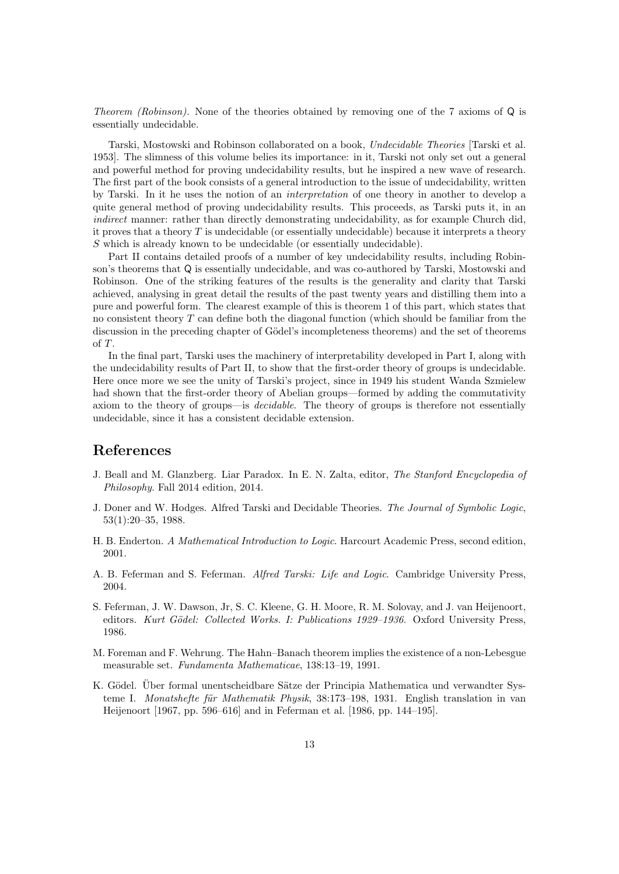Theorem (Robinson). None of the theories obtained by removing one of the 7 axioms of Q is essentially undecidable.

Tarski, Mostowski and Robinson collaborated on a book, Undecidable Theories [\[Tarski et al.](#page-13-18) [1953\]](#page-13-18). The slimness of this volume belies its importance: in it, Tarski not only set out a general and powerful method for proving undecidability results, but he inspired a new wave of research. The first part of the book consists of a general introduction to the issue of undecidability, written by Tarski. In it he uses the notion of an interpretation of one theory in another to develop a quite general method of proving undecidability results. This proceeds, as Tarski puts it, in an indirect manner: rather than directly demonstrating undecidability, as for example Church did, it proves that a theory  $T$  is undecidable (or essentially undecidable) because it interprets a theory S which is already known to be undecidable (or essentially undecidable).

Part II contains detailed proofs of a number of key undecidability results, including Robinson's theorems that Q is essentially undecidable, and was co-authored by Tarski, Mostowski and Robinson. One of the striking features of the results is the generality and clarity that Tarski achieved, analysing in great detail the results of the past twenty years and distilling them into a pure and powerful form. The clearest example of this is theorem 1 of this part, which states that no consistent theory  $T$  can define both the diagonal function (which should be familiar from the discussion in the preceding chapter of Gödel's incompleteness theorems) and the set of theorems of T.

In the final part, Tarski uses the machinery of interpretability developed in Part I, along with the undecidability results of Part II, to show that the first-order theory of groups is undecidable. Here once more we see the unity of Tarski's project, since in 1949 his student Wanda Szmielew had shown that the first-order theory of Abelian groups—formed by adding the commutativity axiom to the theory of groups—is decidable. The theory of groups is therefore not essentially undecidable, since it has a consistent decidable extension.

### References

- <span id="page-12-1"></span>J. Beall and M. Glanzberg. Liar Paradox. In E. N. Zalta, editor, The Stanford Encyclopedia of Philosophy. Fall 2014 edition, 2014.
- <span id="page-12-5"></span>J. Doner and W. Hodges. Alfred Tarski and Decidable Theories. The Journal of Symbolic Logic, 53(1):20–35, 1988.
- <span id="page-12-2"></span>H. B. Enderton. A Mathematical Introduction to Logic. Harcourt Academic Press, second edition, 2001.
- <span id="page-12-0"></span>A. B. Feferman and S. Feferman. Alfred Tarski: Life and Logic. Cambridge University Press, 2004.
- <span id="page-12-6"></span>S. Feferman, J. W. Dawson, Jr, S. C. Kleene, G. H. Moore, R. M. Solovay, and J. van Heijenoort, editors. Kurt Gödel: Collected Works. I: Publications 1929–1936. Oxford University Press, 1986.
- <span id="page-12-4"></span>M. Foreman and F. Wehrung. The Hahn–Banach theorem implies the existence of a non-Lebesgue measurable set. Fundamenta Mathematicae, 138:13–19, 1991.
- <span id="page-12-3"></span>K. Gödel. Uber formal unentscheidbare Sätze der Principia Mathematica und verwandter Systeme I. Monatshefte für Mathematik Physik, 38:173–198, 1931. English translation in [van](#page-14-4) [Heijenoort](#page-14-4) [\[1967,](#page-14-4) pp. 596–616] and in [Feferman et al.](#page-12-6) [\[1986,](#page-12-6) pp. 144–195].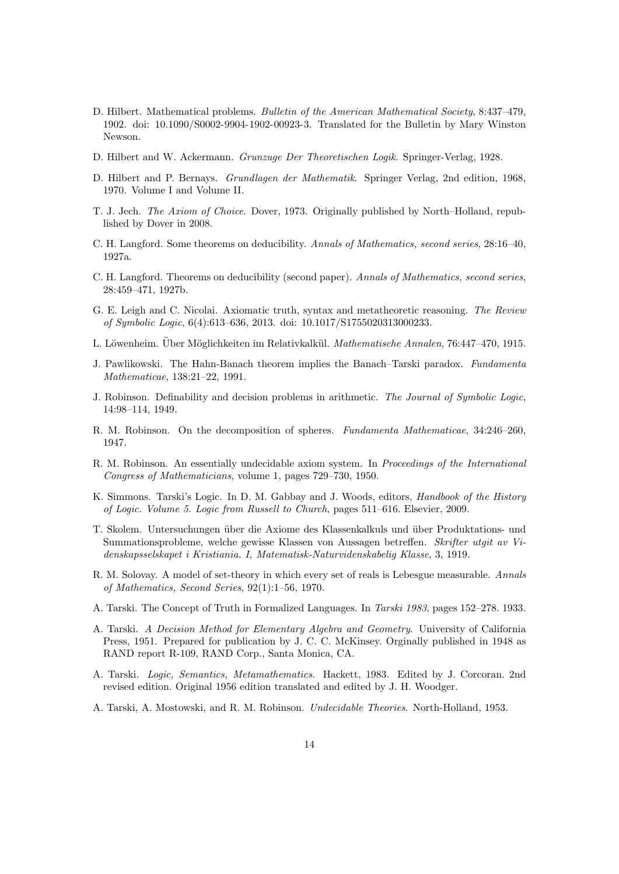- <span id="page-13-9"></span>D. Hilbert. Mathematical problems. Bulletin of the American Mathematical Society, 8:437–479, 1902. doi: 10.1090/S0002-9904-1902-00923-3. Translated for the Bulletin by Mary Winston Newson.
- <span id="page-13-8"></span>D. Hilbert and W. Ackermann. Grunzuge Der Theoretischen Logik. Springer-Verlag, 1928.
- <span id="page-13-15"></span>D. Hilbert and P. Bernays. Grundlagen der Mathematik. Springer Verlag, 2nd edition, 1968, 1970. Volume I and Volume II.
- <span id="page-13-7"></span>T. J. Jech. The Axiom of Choice. Dover, 1973. Originally published by North–Holland, republished by Dover in 2008.
- <span id="page-13-12"></span>C. H. Langford. Some theorems on deducibility. Annals of Mathematics, second series, 28:16–40, 1927a.
- <span id="page-13-13"></span>C. H. Langford. Theorems on deducibility (second paper). Annals of Mathematics, second series, 28:459–471, 1927b.
- <span id="page-13-3"></span>G. E. Leigh and C. Nicolai. Axiomatic truth, syntax and metatheoretic reasoning. The Review of Symbolic Logic, 6(4):613–636, 2013. doi: 10.1017/S1755020313000233.
- <span id="page-13-10"></span>L. Löwenheim. Über Möglichkeiten im Relativkalkül. *Mathematische Annalen*, 76:447–470, 1915.
- <span id="page-13-6"></span>J. Pawlikowski. The Hahn-Banach theorem implies the Banach–Tarski paradox. Fundamenta Mathematicae, 138:21–22, 1991.
- <span id="page-13-14"></span>J. Robinson. Definability and decision problems in arithmetic. The Journal of Symbolic Logic, 14:98–114, 1949.
- <span id="page-13-5"></span>R. M. Robinson. On the decomposition of spheres. Fundamenta Mathematicae, 34:246–260, 1947.
- <span id="page-13-17"></span>R. M. Robinson. An essentially undecidable axiom system. In Proceedings of the International Congress of Mathematicians, volume 1, pages 729–730, 1950.
- <span id="page-13-0"></span>K. Simmons. Tarski's Logic. In D. M. Gabbay and J. Woods, editors, Handbook of the History of Logic. Volume 5. Logic from Russell to Church, pages 511–616. Elsevier, 2009.
- <span id="page-13-11"></span>T. Skolem. Untersuchungen über die Axiome des Klassenkalkuls und über Produktations- und Summationsprobleme, welche gewisse Klassen von Aussagen betreffen. Skrifter utgit av Videnskapsselskapet i Kristiania. I, Matematisk-Naturvidenskabelig Klasse, 3, 1919.
- <span id="page-13-4"></span>R. M. Solovay. A model of set-theory in which every set of reals is Lebesgue measurable. Annals of Mathematics, Second Series, 92(1):1–56, 1970.
- <span id="page-13-2"></span>A. Tarski. The Concept of Truth in Formalized Languages. In [Tarski](#page-13-1) [1983](#page-13-1), pages 152–278. 1933.
- <span id="page-13-16"></span>A. Tarski. A Decision Method for Elementary Algebra and Geometry. University of California Press, 1951. Prepared for publication by J. C. C. McKinsey. Orginally published in 1948 as RAND report R-109, RAND Corp., Santa Monica, CA.
- <span id="page-13-1"></span>A. Tarski. Logic, Semantics, Metamathematics. Hackett, 1983. Edited by J. Corcoran. 2nd revised edition. Original 1956 edition translated and edited by J. H. Woodger.
- <span id="page-13-18"></span>A. Tarski, A. Mostowski, and R. M. Robinson. Undecidable Theories. North-Holland, 1953.